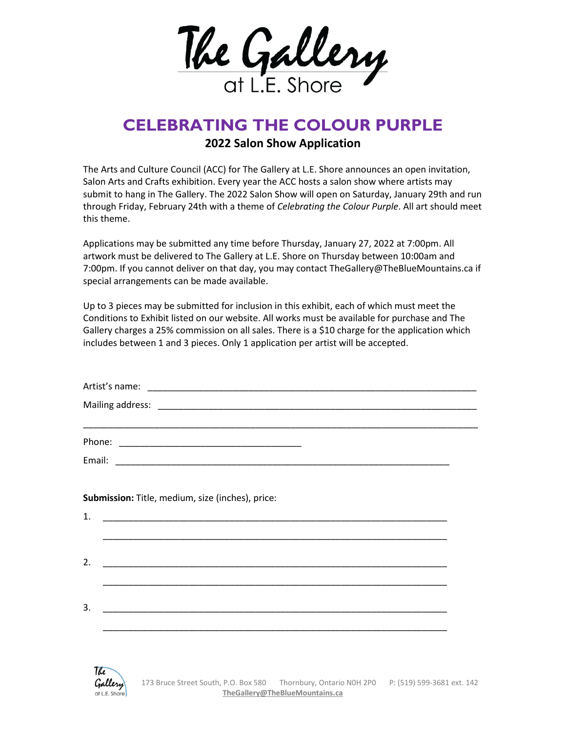

## **CELEBRATING THE COLOUR PURPLE**

## **2022 Salon Show Application**

The Arts and Culture Council (ACC) for The Gallery at L.E. Shore announces an open invitation, Salon Arts and Crafts exhibition. Every year the ACC hosts a salon show where artists may submit to hang in The Gallery. The 2022 Salon Show will open on Saturday, January 29th and run through Friday, February 24th with a theme of *Celebrating the Colour Purple*. All art should meet this theme.

Applications may be submitted any time before Thursday, January 27, 2022 at 7:00pm. All artwork must be delivered to The Gallery at L.E. Shore on Thursday between 10:00am and 7:00pm. If you cannot deliver on that day, you may contact TheGallery@TheBlueMountains.ca if special arrangements can be made available.

Up to 3 pieces may be submitted for inclusion in this exhibit, each of which must meet the Conditions to Exhibit listed on our website. All works must be available for purchase and The Gallery charges a 25% commission on all sales. There is a \$10 charge for the application which includes between 1 and 3 pieces. Only 1 application per artist will be accepted.

|                                                  | <u> 1989 - Jan James James James James James James James James James James James James James James James James</u>  |  |
|--------------------------------------------------|---------------------------------------------------------------------------------------------------------------------|--|
|                                                  |                                                                                                                     |  |
|                                                  |                                                                                                                     |  |
|                                                  |                                                                                                                     |  |
| Submission: Title, medium, size (inches), price: |                                                                                                                     |  |
| 1.                                               |                                                                                                                     |  |
|                                                  | <u> 1989 - John Harry Harry Harry Harry Harry Harry Harry Harry Harry Harry Harry Harry Harry Harry Harry Harry</u> |  |
| 2.                                               |                                                                                                                     |  |
|                                                  |                                                                                                                     |  |
|                                                  |                                                                                                                     |  |
| 3.                                               |                                                                                                                     |  |
|                                                  |                                                                                                                     |  |